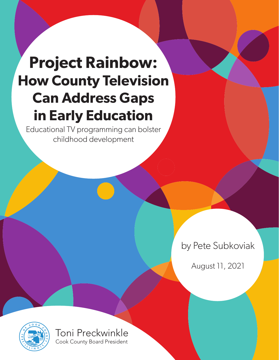# **Project Rainbow: How County Television Can Address Gaps in Early Education**

Educational TV programming can bolster childhood development

by Pete Subkoviak

August 11, 2021



Toni Preckwinkle Cook County Board President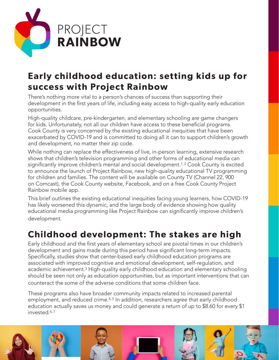

# **Early childhood education: setting kids up for success with Project Rainbow**

There's nothing more vital to a person's chances of success than supporting their development in the first years of life, including easy access to high-quality early education opportunities.

High-quality childcare, pre-kindergarten, and elementary schooling are game changers for kids. Unfortunately, not all our children have access to these beneficial programs. Cook County is very concerned by the existing educational inequities that have been exacerbated by COVID-19 and is committed to doing all it can to support children's growth and development, no matter their zip code.

While nothing can replace the effectiveness of live, in-person learning, extensive research shows that children's television programming and other forms of educational media can significantly improve children's mental and social development.<sup>1, 2</sup> Cook County is excited to announce the launch of Project Rainbow, new high-quality educational TV programming for children and families. The content will be available on County TV (Channel 22, 900 on Comcast), the Cook County website, Facebook, and on a free Cook County Project Rainbow mobile app.

This brief outlines the existing educational inequities facing young learners, how COVID-19 has likely worsened this dynamic, and the large body of evidence showing how quality educational media programming like Project Rainbow can significantly improve children's development.

# **Childhood development: The stakes are high**

Early childhood and the first years of elementary school are pivotal times in our children's development and gains made during this period have significant long-term impacts. Specifically, studies show that center-based early childhood education programs are associated with improved cognitive and emotional development, self-regulation, and academic achievement.3 High-quality early childhood education and elementary schooling should be seen not only as education opportunities, but as important interventions that can counteract the some of the adverse conditions that some children face.

These programs also have broader community impacts related to increased parental employment, and reduced crime.<sup>4, 5</sup> In addition, researchers agree that early childhood education actually saves us money and could generate a return of up to \$8.60 for every \$1 invested.6, 7

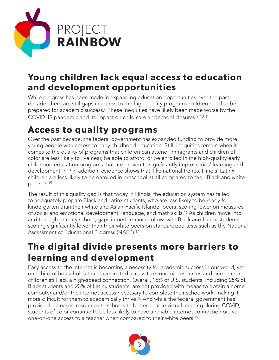

#### **Young children lack equal access to education and development opportunities**

While progress has been made in expanding education opportunities over the past decade, there are still gaps in access to the high-quality programs children need to be prepared for academic success.8 These inequities have likely been made worse by the COVID-19 pandemic and its impact on child care and school closures.9, 10, 11

# **Access to quality programs**

Over the past decade, the federal government has expanded funding to provide more young people with access to early childhood education. Still, inequities remain when it comes to the quality of programs that children can attend. Immigrants and children of color are less likely to live near, be able to afford, or be enrolled in the high-quality early childhood education programs that are proven to significantly improve kids' learning and development.12, 13 In addition, evidence shows that, like national trends, Illinois' Latinx children are less likely to be enrolled in preschool at all compared to their Black and white peers.14, 15

The result of this quality gap is that today in Illinois, the education system has failed to adequately prepare Black and Latinx students, who are less likely to be ready for kindergarten than their white and Asian-Pacific Islander peers, scoring lower on measures of social and emotional development, language, and math skills.16 As children move into and through primary school, gaps in performance follow, with Black and Latinx students scoring significantly lower than their white peers on standardized tests such as the National Assessment of Educational Progress (NAEP).17

## **The digital divide presents more barriers to learning and development**

Easy access to the internet is becoming a necessity for academic success in our world, yet one-third of households that have limited access to economic resources and one or more children still lack a high-speed connection. Overall, 15% of U.S. students, including 25% of Black students and 23% of Latinx students, are not provided with means to obtain a home computer and/or the internet access necessary to complete their schoolwork, making it more difficult for them to academically thrive.18 And while the federal government has provided increased resources to schools to better enable virtual learning during COVID, students of color continue to be less likely to have a reliable internet connection or live one-on-one access to a teacher when compared to their white peers.19

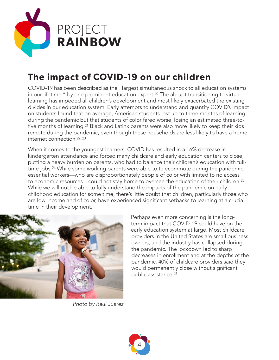

# **The impact of COVID-19 on our children**

COVID-19 has been described as the "largest simultaneous shock to all education systems in our lifetime," by one prominent education expert.<sup>20</sup> The abrupt transitioning to virtual learning has impeded all children's development and most likely exacerbated the existing divides in our education system. Early attempts to understand and quantify COVID's impact on students found that on average, American students lost up to three months of learning during the pandemic but that students of color fared worse, losing an estimated three-tofive months of learning.21 Black and Latinx parents were also more likely to keep their kids remote during the pandemic, even though these households are less likely to have a home internet connection.22, 23

When it comes to the youngest learners, COVID has resulted in a 16% decrease in kindergarten attendance and forced many childcare and early education centers to close, putting a heavy burden on parents, who had to balance their children's education with fulltime jobs.24 While some working parents were able to telecommute during the pandemic, essential workers—who are disproportionately people of color with limited to no access to economic resources—could not stay home to oversee the education of their children.<sup>25</sup> While we will not be able to fully understand the impacts of the pandemic on early childhood education for some time, there's little doubt that children, particularly those who are low-income and of color, have experienced significant setbacks to learning at a crucial time in their development.



Perhaps even more concerning is the longterm impact that COVID-19 could have on the early education system at large. Most childcare providers in the United States are small business owners, and the industry has collapsed during the pandemic. The lockdown led to sharp decreases in enrollment and at the depths of the pandemic, 40% of childcare providers said they would permanently close without significant public assistance.26

*Photo by Raul Juarez*

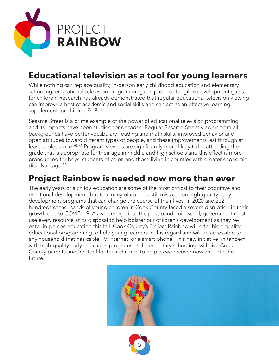

# **Educational television as a tool for young learners**

While nothing can replace quality, in-person early childhood education and elementary schooling, educational television programming can produce tangible development gains for children. Research has already demonstrated that regular educational television viewing can improve a host of academic and social skills and can act as an effective learning supplement for children.<sup>27, 28, 29</sup>

Sesame Street is a prime example of the power of educational television programming and its impacts have been studied for decades. Regular Sesame Street viewers from all backgrounds have better vocabulary, reading and math skills, improved behavior and open attitudes toward different types of people, and these improvements last through at least adolescence.30, 31 Program viewers are significantly more likely to be attending the grade that is appropriate for their age in middle and high schools and this effect is more pronounced for boys, students of color, and those living in counties with greater economic disadvantage.<sup>32</sup>

#### **Project Rainbow is needed now more than ever**

The early years of a child's education are some of the most critical to their cognitive and emotional development, but too many of our kids still miss out on high-quality early development programs that can change the course of their lives. In 2020 and 2021, hundreds of thousands of young children in Cook County faced a severe disruption in their growth due to COVID-19. As we emerge into the post-pandemic world, government must use every resource at its disposal to help bolster our children's development as they reenter in-person education this fall. Cook County's Project Rainbow will offer high-quality educational programming to help young learners in this regard and will be accessible to any household that has cable TV, internet, or a smart phone. This new initiative, in tandem with high-quality early education programs and elementary schooling, will give Cook County parents another tool for their children to help as we recover now and into the future.



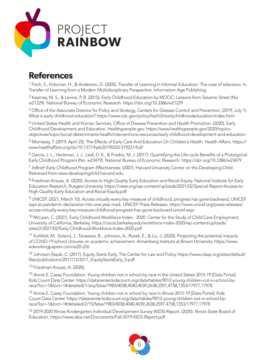

#### **References**

<sup>1</sup> Fisch, S., Kirkorian, H., & Anderson, D. (2005). Transfer of Learning in Informal Education: The case of television. In Transfer of Learning from a Modern Multidisciplinary Perspective. Information Age Publishing.

2 Kearney, M. S., & Levine, P. B. (2015). Early Childhood Education by MOOC: Lessons from Sesame Street (No. w21229). National Bureau of Economic Research. https://doi.org/10.3386/w21229

3 Office of the Associate Director for Policy and Strategy, Centers for Disease Control and Prevention. (2019, July 1). What is early childhood education? https://www.cdc.gov/policy/hst/hi5/earlychildhoodeducation/index.html

4 United States Health and Human Services, Office of Disease Prevention and Health Promotion. (2020). Early Childhood Development and Education. Healthypeople.gov. https://www.healthypeople.gov/2020/topicsobjectives/topic/social-determinants-health/interventions-resources/early-childhood-development-and-education

5 Morrissey, T. (2019, April 25). The Effects of Early Care And Education On Children's Health. Health Affairs. https:// www.healthaffairs.org/do/10.1377/hpb20190325.519221/full/

6 García, J. L., Heckman, J. J., Leaf, D. E., & Prados, M. J. (2017). Quantifying the Life-cycle Benefits of a Prototypical Early Childhood Program (No. w23479). National Bureau of Economic Research. https://doi.org/10.3386/w23479

7 *InBrief: Early Childhood Program Effectiveness*. (2007). Harvard University Center on the Developing Child. Retrieved from www.developingchild.harvard.edu.

8 Friedman-Krauss, A. (2020). Access to High-Quality Early Education and Racial Equity. National Institute for Early Education Research, Rutgers University. https://nieer.org/wp-content/uploads/2021/02/Special-Report-Access-to-High-Quality-Early-Education-and-Racial-Equity.pdf

<sup>9</sup> UNICEF. (2021, March 10). Across virtually every key measure of childhood, progress has gone backward, UNICEF says as pandemic declaration hits one-year mark. UNICEF Press Releases. https://www.unicef.org/press-releases/ across-virtually-every-key-measure-childhood-progress-has-gone-backward-unicef-says

<sup>10</sup> McLean, C. (2021). Early Childhood Workforce Index - 2020. Center for the Study of Child Care Employment, University of California, Berkeley. https://cscce.berkeley.edu/workforce-index-2020/wp-content/uploads/ sites/2/2021/02/Early-Childhood-Workforce-Index-2020.pdf

11 Kuhfeld, M., Soland, J., Tarasawa, B., Johnson, A., Ruzek, E., & Liu, J. (2020). Projecting the potential impacts of COVID-19 school closures on academic achievement. Annenberg Institute at Brown University. https://www. edworkingpapers.com/ai20-226

<sup>12</sup> Johnson-Staub, C. (2017). Equity Starts Early. The Center for Law and Policy. https://www.clasp.org/sites/default/ files/publications/2017/12/2017\_EquityStartsEarly\_0.pdf

13 Friedman-Krauss, A. (2020).

<sup>14</sup> Annie E. Casey Foundation. Young children not in school by race in the United States 2015-19 [Data Portal]. Kids Count Data Center. https://datacenter.kidscount.org/data/tables/9012-young-children-not-in-school-byrace?loc=1&loct=1#detailed/1/any/false/1983/4038,4040,4039,2638,2597,4758,1353/17977,17978

15 Annie E. Casey Foundation. Young children not in school by race in Illinois 2015-19 [Data Portal]. Kids Count Data Center. https://datacenter.kidscount.org/data/tables/9012-young-children-not-in-school-byrace?loc=1&loct=1#detailed/2/15/false/1983/4038,4040,4039,2638,2597,4758,1353/17977,17978

16 2019-2020 Illinois Kindergarten Individual Development Survey (KIDS) Report. (2020). Illinois State Board of Education. https://www.isbe.net/Documents/Fall-2019-KIDS-Report.pdf